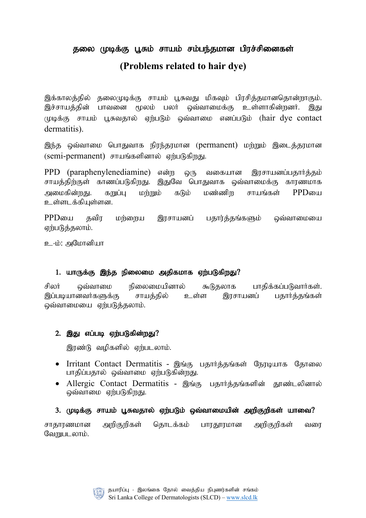# தலை முடிக்கு பூசும் சாயம் சம்பந்தமான பிரச்சினைகள்

# **(Problems related to hair dye)**

இக்காலத்தில் தலைமுடிக்கு சாயம் பூசுவது மிகவும் பிரசித்தமானதொன்றாகும். இச்சாயத்தின் பாவனை மூலம் பலர் ஒவ்வாமைக்கு உள்ளாகின்றனர். இது  $L$ முடிக்கு சாயம் பூசுவதால் ஏற்படும் ஒவ்வாமை எனப்படும் (hair dye contact dermatitis).

இந்த ஒவ்வாமை பொதுவாக நிரந்தரமான (permanent) மற்றும் இடைத்தரமான (semi-permanent) சாயங்களினால் ஏற்படுகிறது.

PPD (paraphenylenediamine) என்ற ஒரு வகையான இரசாயனப்பதார்த்தம் சாயத்திற்குள் காணப்படுகிறது. இதுவே பொதுவாக ஒவ்வாமைக்கு காரணமாக அமைகின்றது. கறுப்ப மற்றும் கடும் மண்ணிற சாயங்கள் PPDயை உள்ளடக்கியுள்ளன.

 $PPD$ யை தவிர மற்றைய இரசாயனப் பதார்த்தங்களும் ஒவ்வாமையை ஏற்படுத்தலாம்.

உ-ம்: அமோனியா

### 1. யாருக்கு இந்த நிலைமை அதிகமாக ஏற்படுகிறது?

சிலர் ஒவ்வாமை நிலைமையினால் கூடுதலாக பாதிக்கப்படுவார்கள். இப்படியானவர்களுக்கு சாயத்தில் உள்ள இரசாயனப் பதார்த்தங்கள் ஒவ்வாமையை ஏற்படுத்தலாம்.

### $2.$  இது எப்படி ஏற்படுகின்றது $?$

இரண்டு வழிகளில் ஏற்படலாம்.

- Irritant Contact Dermatitis இங்கு பதார்த்தங்கள் நேரடியாக தோலை பாதிப்பதால் ஒவ்வாமை ஏற்படுகின்றது.
- Allergic Contact Dermatitis இங்கு பதார்த்தங்களின் தூண்டலினால் ஒவ்வாமை ஏற்படுகிறது.

## 3. முடிக்கு சாயம் பூசுவதால் ஏற்படும் ஒவ்வாமையின் அறிகுறிகள் யாவை?

சாதாரணமான அறிகுறிகள் தொடக்கம் பாரதூரமான அறிகுறிகள் வரை வேறுபடலாம்.

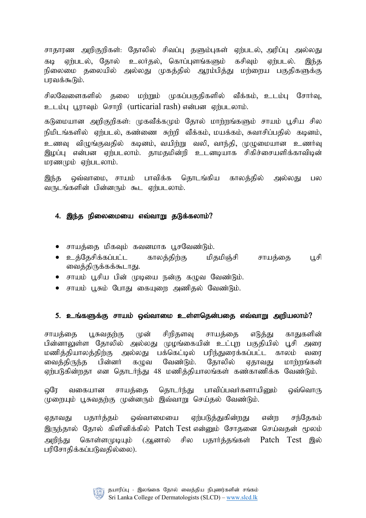சாதாரண அறிகுறிகள்: தோலில் சிவப்பு தளும்புகள் ஏற்படல், அரிப்பு அல்லது கடி ஏற்படல், தோல் உலர்தல், கொப்புளங்களும் கசிவும் ஏற்படல். இந்த நிலைமை தலையில் அல்லது முகத்தில் ஆரம்பித்து மற்றைய பகுதிகளுக்கு பாவக்கூடும்.

சிலவேளைகளில் தலை மற்றும் முகப்பகுதிகளில் வீக்கம், உடம்பு சோர்வு, உடம்பு பூராவும் சொறி (urticarial rash) என்பன ஏற்படலாம்.

கடுமையான அறிகுறிகள்: முகவீக்கமும் தோல் மாற்றங்களும் சாயம் பூசிய சில நிமிடங்களில் ஏற்படல், கண்ணை சுற்றி வீக்கம், மயக்கம், சுவாசிப்பதில் கடினம், உணவு விழுங்குவதில் கடினம், வயிற்று வலி, வாந்தி, முழுமையான உணர்வு இழப்பு என்பன ஏற்படலாம். தாமதமின்றி உடனடியாக சிகிச்சையளிக்காவிடின் மரண $(\rho \dot{\mathbf{b}})$  ஏற்படலாம்.

இந்த ஒவ்வாமை, சாயம் பாவிக்க தொடங்கிய காலத்தில் அல்லது பல வருடங்களின் பின்னரும் கூட ஏற்படலாம்.

#### 4. இந்த நிலைமையை எவ்வாறு தடுக்கலாம்?

- $\bullet$  சாயத்தை மிகவும் கவனமாக பூசவேண்டும்.
- உத்தேசிக்கப்பட்ட காலத்திற்கு மிதமிஞ்சி சாயத்தை பூசி வைத்திருக்கக்கூடாது.
- சாயம் பூசிய பின் முடியை நன்கு கழுவ வேண்டும்.
- சாயம் பசும் போகு கையளை அணிகல் வேண்டும்.

#### 5. உங்களுக்கு சாயம் ஒவ்வாமை உள்ளதென்பதை எவ்வாறு அறியலாம்?

சாயத்தை பூசுவதற்கு முன் சிறிதளவு சாயத்தை எடுத்து காதுகளின் பின்னாலுள்ள தோலில் அல்லது முழங்கையின் உட்புற பகுதியில் பூசி அரை மணித்தியாலத்திற்கு அல்லது பக்கெட்டில் பரிந்துரைக்கப்பட்ட காலம் வரை வைக்கிருந்த பின்னர் கமுவ வேண்டும். கோலில் எகாவகு மாற்றங்கள் ஏற்படுகின்றதா என தொடர்ந்து 48 மணித்தியாலங்கள் கண்காணிக்க வேண்டும்.

லரே வகையான சாயக்கை கொடர்ந்து பாவிப்பவர்களாயினும் ஒவ்வொரு முறையும் பூசுவதற்கு முன்னரும் இவ்வாறு செய்தல் வேண்டும்.

ஏதாவது பதார்த்தம் ஒவ்வாமையை ஏற்படுத்துகின்றது என்ற சந்தேகம் இருந்தால் தோல் கிளினிக்கில் Patch Test என்னும் சோதனை செய்வதன் மூலம் அறிந்து தொள்ளமுடியும் (அனால் சில பதார்த்தங்கள் Patch Test இல் பரிசோதிக்கப்படுவதில்லை).